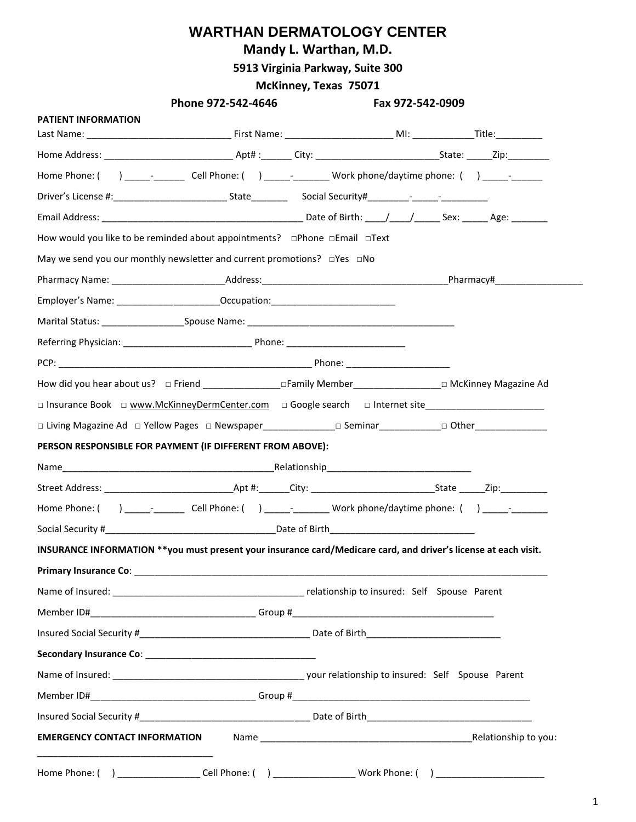### **Mandy L. Warthan, M.D.**

**5913 Virginia Parkway, Suite 300**

### **McKinney, Texas 75071**

| <b>PATIENT INFORMATION</b> |                                                                                                                 |  |  |
|----------------------------|-----------------------------------------------------------------------------------------------------------------|--|--|
|                            |                                                                                                                 |  |  |
|                            |                                                                                                                 |  |  |
|                            | Home Phone: () __________________Cell Phone: () ________________Work phone/daytime phone: () _______            |  |  |
|                            |                                                                                                                 |  |  |
|                            |                                                                                                                 |  |  |
|                            | How would you like to be reminded about appointments? □Phone □Email □Text                                       |  |  |
|                            | May we send you our monthly newsletter and current promotions? □ Yes □ No                                       |  |  |
|                            |                                                                                                                 |  |  |
|                            | Employer's Name: _____________________________Occupation:_______________________                                |  |  |
|                            |                                                                                                                 |  |  |
|                            |                                                                                                                 |  |  |
|                            |                                                                                                                 |  |  |
|                            |                                                                                                                 |  |  |
|                            | □ Insurance Book □ www.McKinneyDermCenter.com □ Google search □ Internet site                                   |  |  |
|                            |                                                                                                                 |  |  |
|                            | PERSON RESPONSIBLE FOR PAYMENT (IF DIFFERENT FROM ABOVE):                                                       |  |  |
|                            |                                                                                                                 |  |  |
|                            |                                                                                                                 |  |  |
|                            | Home Phone: () ___________________Cell Phone: () ________________Work phone/daytime phone: () ____________      |  |  |
|                            | Social Security # Date of Birth Date of Birth                                                                   |  |  |
|                            | INSURANCE INFORMATION **you must present your insurance card/Medicare card, and driver's license at each visit. |  |  |
|                            |                                                                                                                 |  |  |
|                            |                                                                                                                 |  |  |
|                            |                                                                                                                 |  |  |
|                            |                                                                                                                 |  |  |
|                            |                                                                                                                 |  |  |
|                            |                                                                                                                 |  |  |
|                            |                                                                                                                 |  |  |
|                            |                                                                                                                 |  |  |
|                            |                                                                                                                 |  |  |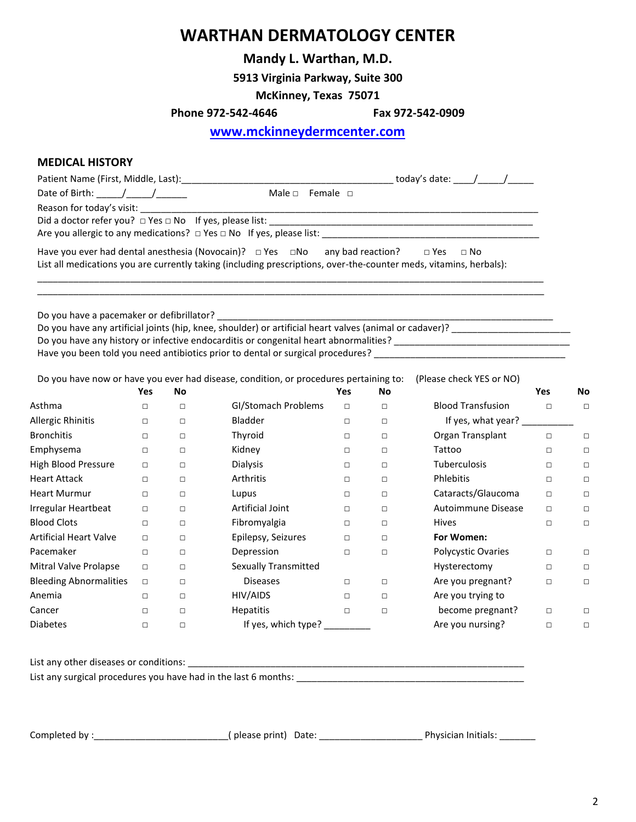### **Mandy L. Warthan, M.D.**

**5913 Virginia Parkway, Suite 300**

**McKinney, Texas 75071**

**Phone 972-542-4646 Fax 972-542-0909**

 **[www.mckinneydermcenter.com](http://www.mckinneydermcenter.com/)**

#### **MEDICAL HISTORY**

| Date of Birth: $\frac{1}{\sqrt{1-\frac{1}{2}}}\$                                                                                        | Male $\Box$ Female $\Box$ |            |        |                          |            |        |
|-----------------------------------------------------------------------------------------------------------------------------------------|---------------------------|------------|--------|--------------------------|------------|--------|
|                                                                                                                                         |                           |            |        |                          |            |        |
|                                                                                                                                         |                           |            |        |                          |            |        |
|                                                                                                                                         |                           |            |        |                          |            |        |
| Have you ever had dental anesthesia (Novocain)? $\Box$ Yes $\Box$ No any bad reaction? $\Box$ Yes                                       |                           |            |        | $\square$ No             |            |        |
| List all medications you are currently taking (including prescriptions, over-the-counter meds, vitamins, herbals):                      |                           |            |        |                          |            |        |
|                                                                                                                                         |                           |            |        |                          |            |        |
|                                                                                                                                         |                           |            |        |                          |            |        |
|                                                                                                                                         |                           |            |        |                          |            |        |
| Do you have any artificial joints (hip, knee, shoulder) or artificial heart valves (animal or cadaver)? _______________________________ |                           |            |        |                          |            |        |
|                                                                                                                                         |                           |            |        |                          |            |        |
| Have you been told you need antibiotics prior to dental or surgical procedures? ______________________________                          |                           |            |        |                          |            |        |
|                                                                                                                                         |                           |            |        |                          |            |        |
| Do you have now or have you ever had disease, condition, or procedures pertaining to:                                                   |                           |            |        | (Please check YES or NO) |            |        |
| Yes<br>No                                                                                                                               |                           | <b>Yes</b> | No.    |                          | <b>Yes</b> | No     |
| Asthma<br>$\begin{array}{ccccccccccccc} \Box & \quad & \Box & \quad & \Box \end{array}$                                                 | GI/Stomach Problems       | $\Box$     | $\Box$ | <b>Blood Transfusion</b> | $\Box$     | $\Box$ |
| Allergic Rhinitis<br>Bladder<br>$\Box$<br>$\Box$                                                                                        |                           | $\Box$     | $\Box$ | If yes, what year?       |            |        |
| Bronchitis<br>Thyroid<br>$\Box$<br>$\Box$                                                                                               |                           | $\Box$     | $\Box$ | Organ Transplant         | $\Box$     | $\Box$ |

| <b>Bronchitis</b>             | $\Box$ | $\Box$ | Thyroid                     | $\Box$ | $\Box$ | Organ Transplant    | $\Box$ | П      |
|-------------------------------|--------|--------|-----------------------------|--------|--------|---------------------|--------|--------|
| Emphysema                     | $\Box$ | $\Box$ | Kidney                      | □      | □      | Tattoo              | П      | $\Box$ |
| High Blood Pressure           | $\Box$ | $\Box$ | <b>Dialysis</b>             | □      | □      | <b>Tuberculosis</b> | $\Box$ | $\Box$ |
| <b>Heart Attack</b>           | $\Box$ | $\Box$ | Arthritis                   | $\Box$ | $\Box$ | Phlebitis           | $\Box$ | $\Box$ |
| <b>Heart Murmur</b>           | $\Box$ | $\Box$ | Lupus                       | □      | □      | Cataracts/Glaucoma  | п      | $\Box$ |
| Irregular Heartbeat           | $\Box$ | $\Box$ | Artificial Joint            | $\Box$ | $\Box$ | Autoimmune Disease  | $\Box$ | $\Box$ |
| <b>Blood Clots</b>            | $\Box$ | $\Box$ | Fibromyalgia                | $\Box$ | $\Box$ | <b>Hives</b>        | п      | $\Box$ |
| <b>Artificial Heart Valve</b> | $\Box$ | $\Box$ | Epilepsy, Seizures          | $\Box$ | $\Box$ | For Women:          |        |        |
| Pacemaker                     | $\Box$ | $\Box$ | Depression                  | $\Box$ | $\Box$ | Polycystic Ovaries  | $\Box$ | $\Box$ |
| Mitral Valve Prolapse         | $\Box$ | $\Box$ | <b>Sexually Transmitted</b> |        |        | Hysterectomy        | $\Box$ | $\Box$ |
| <b>Bleeding Abnormalities</b> | $\Box$ | $\Box$ | <b>Diseases</b>             | $\Box$ | $\Box$ | Are you pregnant?   | $\Box$ | □      |
| Anemia                        | $\Box$ | $\Box$ | HIV/AIDS                    | $\Box$ | $\Box$ | Are you trying to   |        |        |
| Cancer                        | $\Box$ | $\Box$ | <b>Hepatitis</b>            | $\Box$ | $\Box$ | become pregnant?    | $\Box$ | □      |
| <b>Diabetes</b>               | $\Box$ | $\Box$ | If yes, which type?         |        |        | Are you nursing?    | $\Box$ | □      |

List any other diseases or conditions:

List any surgical procedures you have had in the last 6 months: \_\_\_\_\_\_\_\_\_\_\_\_\_\_\_\_\_\_\_\_\_\_\_\_\_\_\_\_\_\_\_\_\_\_\_\_\_\_\_\_\_\_\_\_

Completed by :\_\_\_\_\_\_\_\_\_\_\_\_\_\_\_\_\_\_\_\_\_\_\_\_\_\_( please print) Date: \_\_\_\_\_\_\_\_\_\_\_\_\_\_\_\_\_\_\_\_ Physician Initials: \_\_\_\_\_\_\_

2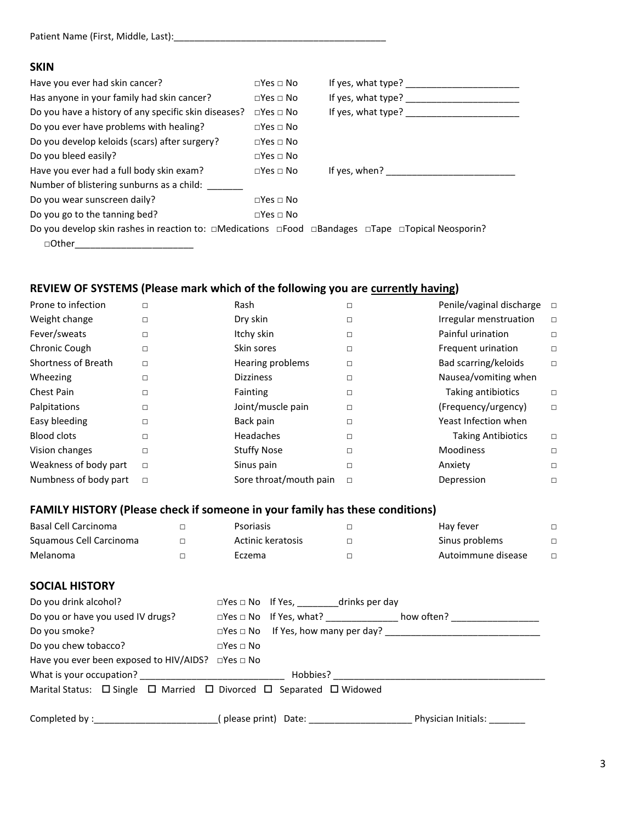| Patient Name (First, Middle, Last): |  |
|-------------------------------------|--|
|                                     |  |

#### **SKIN**

| Have you ever had skin cancer?                                                                                                  | $\Box$ Yes $\Box$ No | If yes, what type? |
|---------------------------------------------------------------------------------------------------------------------------------|----------------------|--------------------|
| Has anyone in your family had skin cancer?                                                                                      | $\Box$ Yes $\Box$ No | If yes, what type? |
| Do you have a history of any specific skin diseases?                                                                            | $\Box$ Yes $\Box$ No | If yes, what type? |
| Do you ever have problems with healing?                                                                                         | $\Box$ Yes $\Box$ No |                    |
| Do you develop keloids (scars) after surgery?                                                                                   | $\Box$ Yes $\Box$ No |                    |
| Do you bleed easily?                                                                                                            | $\Box$ Yes $\Box$ No |                    |
| Have you ever had a full body skin exam?                                                                                        | $\Box$ Yes $\Box$ No | If yes, when?      |
| Number of blistering sunburns as a child:                                                                                       |                      |                    |
| Do you wear sunscreen daily?                                                                                                    | $\Box$ Yes $\Box$ No |                    |
| Do you go to the tanning bed?                                                                                                   | $\Box$ Yes $\Box$ No |                    |
| Do you develop skin rashes in reaction to: $\Box$ Medications $\Box$ Food $\Box$ Bandages $\Box$ Tape $\Box$ Topical Neosporin? |                      |                    |
| $\Box$ Other                                                                                                                    |                      |                    |

### **REVIEW OF SYSTEMS (Please mark which of the following you are currently having)**

| Prone to infection    | $\Box$ | Rash                   | п | Penile/vaginal discharge  | $\Box$ |
|-----------------------|--------|------------------------|---|---------------------------|--------|
| Weight change         | □      | Dry skin               | □ | Irregular menstruation    | $\Box$ |
| Fever/sweats          | $\Box$ | Itchy skin             | П | Painful urination         | $\Box$ |
| Chronic Cough         | $\Box$ | Skin sores             | □ | Frequent urination        | □      |
| Shortness of Breath   | $\Box$ | Hearing problems       | □ | Bad scarring/keloids      | $\Box$ |
| Wheezing              | □      | <b>Dizziness</b>       | □ | Nausea/vomiting when      |        |
| <b>Chest Pain</b>     | $\Box$ | Fainting               | □ | Taking antibiotics        | $\Box$ |
| Palpitations          | $\Box$ | Joint/muscle pain      | □ | (Frequency/urgency)       | □      |
| Easy bleeding         | $\Box$ | Back pain              | □ | Yeast Infection when      |        |
| <b>Blood clots</b>    | $\Box$ | Headaches              | □ | <b>Taking Antibiotics</b> | □      |
| Vision changes        | $\Box$ | <b>Stuffy Nose</b>     | □ | Moodiness                 | $\Box$ |
| Weakness of body part | $\Box$ | Sinus pain             | □ | Anxiety                   | $\Box$ |
| Numbness of body part | $\Box$ | Sore throat/mouth pain | □ | Depression                | □      |

### **FAMILY HISTORY (Please check if someone in your family has these conditions)**

| Basal Cell Carcinoma    | Psoriasis         | Hav fever          |  |
|-------------------------|-------------------|--------------------|--|
| Squamous Cell Carcinoma | Actinic keratosis | Sinus problems     |  |
| Melanoma                | Eczema            | Autoimmune disease |  |

| <b>SOCIAL HISTORY</b>                                                                        |                      |                                                                                                                                                                                                                                |                            |
|----------------------------------------------------------------------------------------------|----------------------|--------------------------------------------------------------------------------------------------------------------------------------------------------------------------------------------------------------------------------|----------------------------|
| Do you drink alcohol?                                                                        |                      | $\Box$ Yes $\Box$ No If Yes, ___________drinks per day                                                                                                                                                                         |                            |
| Do you or have you used IV drugs?                                                            |                      | □Yes □ No If Yes, what? _________________ how often? _____________                                                                                                                                                             |                            |
| Do you smoke?                                                                                |                      | $\square$ Yes $\square$ No If Yes, how many per day?                                                                                                                                                                           |                            |
| Do you chew tobacco?                                                                         | $\Box$ Yes $\Box$ No |                                                                                                                                                                                                                                |                            |
| Have you ever been exposed to HIV/AIDS? $\Box$ Yes $\Box$ No                                 |                      |                                                                                                                                                                                                                                |                            |
| What is your occupation?                                                                     |                      | Hobbies? The contract of the contract of the contract of the contract of the contract of the contract of the contract of the contract of the contract of the contract of the contract of the contract of the contract of the c |                            |
| Marital Status: $\Box$ Single $\Box$ Married $\Box$ Divorced $\Box$ Separated $\Box$ Widowed |                      |                                                                                                                                                                                                                                |                            |
|                                                                                              |                      |                                                                                                                                                                                                                                |                            |
|                                                                                              |                      | (please print) Date: ___________________                                                                                                                                                                                       | Physician Initials: ______ |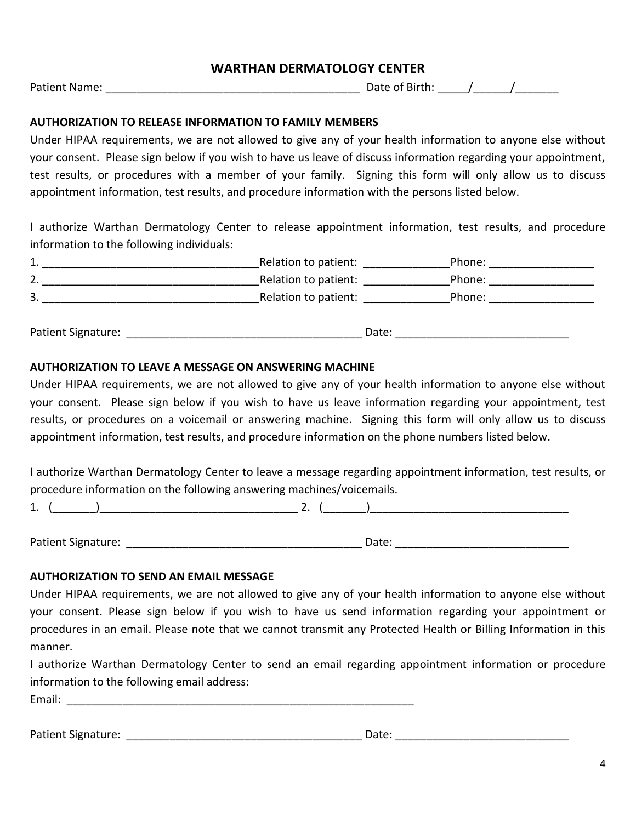Patient Name: <br>
Patient Name: 
2011 12:20 Pate of Birth: 2022 / 2022 / 2022 / 2022 / 2022 / 2022 / 2022 / 2022 / 2022 / 2022 /

### **AUTHORIZATION TO RELEASE INFORMATION TO FAMILY MEMBERS**

Under HIPAA requirements, we are not allowed to give any of your health information to anyone else without your consent. Please sign below if you wish to have us leave of discuss information regarding your appointment, test results, or procedures with a member of your family. Signing this form will only allow us to discuss appointment information, test results, and procedure information with the persons listed below.

I authorize Warthan Dermatology Center to release appointment information, test results, and procedure information to the following individuals:

| <u>. на с</u> | Relation to patient: | Phone: |
|---------------|----------------------|--------|
| $\mathcal{L}$ | Relation to patient: | Phone: |
| 3             | Relation to patient: | Phone: |

Patient Signature: \_\_\_\_\_\_\_\_\_\_\_\_\_\_\_\_\_\_\_\_\_\_\_\_\_\_\_\_\_\_\_\_\_\_\_\_\_\_ Date: \_\_\_\_\_\_\_\_\_\_\_\_\_\_\_\_\_\_\_\_\_\_\_\_\_\_\_\_

#### **AUTHORIZATION TO LEAVE A MESSAGE ON ANSWERING MACHINE**

Under HIPAA requirements, we are not allowed to give any of your health information to anyone else without your consent. Please sign below if you wish to have us leave information regarding your appointment, test results, or procedures on a voicemail or answering machine. Signing this form will only allow us to discuss appointment information, test results, and procedure information on the phone numbers listed below.

I authorize Warthan Dermatology Center to leave a message regarding appointment information, test results, or procedure information on the following answering machines/voicemails.

1. (\_\_\_\_\_\_\_)\_\_\_\_\_\_\_\_\_\_\_\_\_\_\_\_\_\_\_\_\_\_\_\_\_\_\_\_\_\_\_\_ 2. (\_\_\_\_\_\_\_)\_\_\_\_\_\_\_\_\_\_\_\_\_\_\_\_\_\_\_\_\_\_\_\_\_\_\_\_\_\_\_\_

Patient Signature: etc. and the state of the state of the Date: etc. and the state of the state of the state of the state of the state of the state of the state of the state of the state of the state of the state of the st

#### **AUTHORIZATION TO SEND AN EMAIL MESSAGE**

Under HIPAA requirements, we are not allowed to give any of your health information to anyone else without your consent. Please sign below if you wish to have us send information regarding your appointment or procedures in an email. Please note that we cannot transmit any Protected Health or Billing Information in this manner.

I authorize Warthan Dermatology Center to send an email regarding appointment information or procedure information to the following email address:

Email: \_\_\_\_\_\_\_\_\_\_\_\_\_\_\_\_\_\_\_\_\_\_\_\_\_\_\_\_\_\_\_\_\_\_\_\_\_\_\_\_\_\_\_\_\_\_\_\_\_\_\_\_\_\_\_\_

Patient Signature: etc. and the state of the state of the Date: etc. and the state of the state of the state of the state of the state of the state of the state of the state of the state of the state of the state of the st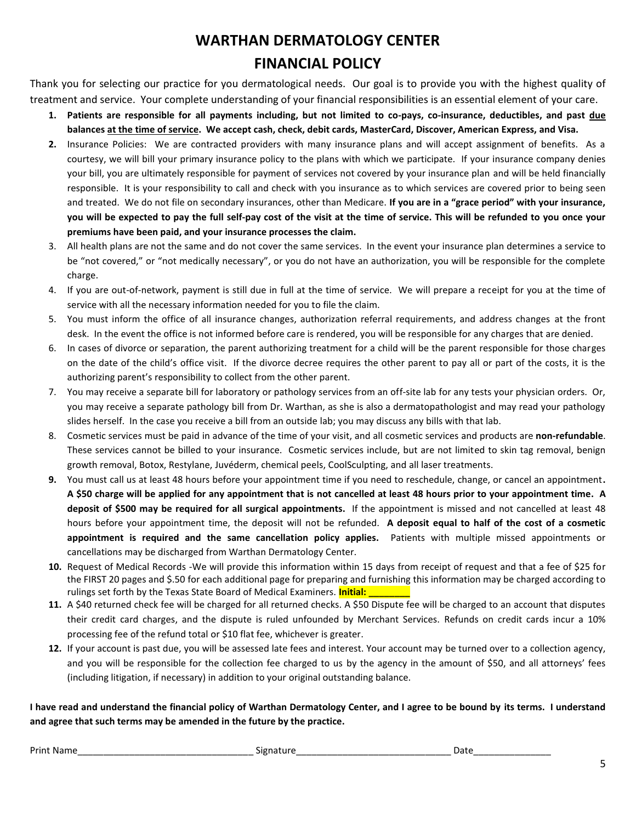# **WARTHAN DERMATOLOGY CENTER FINANCIAL POLICY**

Thank you for selecting our practice for you dermatological needs. Our goal is to provide you with the highest quality of treatment and service. Your complete understanding of your financial responsibilities is an essential element of your care.

- **1. Patients are responsible for all payments including, but not limited to co-pays, co-insurance, deductibles, and past due balances at the time of service. We accept cash, check, debit cards, MasterCard, Discover, American Express, and Visa.**
- **2.** Insurance Policies: We are contracted providers with many insurance plans and will accept assignment of benefits. As a courtesy, we will bill your primary insurance policy to the plans with which we participate. If your insurance company denies your bill, you are ultimately responsible for payment of services not covered by your insurance plan and will be held financially responsible. It is your responsibility to call and check with you insurance as to which services are covered prior to being seen and treated. We do not file on secondary insurances, other than Medicare. **If you are in a "grace period" with your insurance, you will be expected to pay the full self-pay cost of the visit at the time of service. This will be refunded to you once your premiums have been paid, and your insurance processes the claim.**
- 3. All health plans are not the same and do not cover the same services. In the event your insurance plan determines a service to be "not covered," or "not medically necessary", or you do not have an authorization, you will be responsible for the complete charge.
- 4. If you are out-of-network, payment is still due in full at the time of service. We will prepare a receipt for you at the time of service with all the necessary information needed for you to file the claim.
- 5. You must inform the office of all insurance changes, authorization referral requirements, and address changes at the front desk. In the event the office is not informed before care is rendered, you will be responsible for any charges that are denied.
- 6. In cases of divorce or separation, the parent authorizing treatment for a child will be the parent responsible for those charges on the date of the child's office visit. If the divorce decree requires the other parent to pay all or part of the costs, it is the authorizing parent's responsibility to collect from the other parent.
- 7. You may receive a separate bill for laboratory or pathology services from an off-site lab for any tests your physician orders. Or, you may receive a separate pathology bill from Dr. Warthan, as she is also a dermatopathologist and may read your pathology slides herself. In the case you receive a bill from an outside lab; you may discuss any bills with that lab.
- 8. Cosmetic services must be paid in advance of the time of your visit, and all cosmetic services and products are **non-refundable**. These services cannot be billed to your insurance. Cosmetic services include, but are not limited to skin tag removal, benign growth removal, Botox, Restylane, Juvéderm, chemical peels, CoolSculpting, and all laser treatments.
- **9.** You must call us at least 48 hours before your appointment time if you need to reschedule, change, or cancel an appointment**. A \$50 charge will be applied for any appointment that is not cancelled at least 48 hours prior to your appointment time. A deposit of \$500 may be required for all surgical appointments.** If the appointment is missed and not cancelled at least 48 hours before your appointment time, the deposit will not be refunded. **A deposit equal to half of the cost of a cosmetic appointment is required and the same cancellation policy applies.** Patients with multiple missed appointments or cancellations may be discharged from Warthan Dermatology Center.
- **10.** Request of Medical Records -We will provide this information within 15 days from receipt of request and that a fee of \$25 for the FIRST 20 pages and \$.50 for each additional page for preparing and furnishing this information may be charged according to rulings set forth by the Texas State Board of Medical Examiners. **Initial: \_\_\_\_\_\_\_\_**
- **11.** A \$40 returned check fee will be charged for all returned checks. A \$50 Dispute fee will be charged to an account that disputes their credit card charges, and the dispute is ruled unfounded by Merchant Services. Refunds on credit cards incur a 10% processing fee of the refund total or \$10 flat fee, whichever is greater.
- **12.** If your account is past due, you will be assessed late fees and interest. Your account may be turned over to a collection agency, and you will be responsible for the collection fee charged to us by the agency in the amount of \$50, and all attorneys' fees (including litigation, if necessary) in addition to your original outstanding balance.

**I have read and understand the financial policy of Warthan Dermatology Center, and I agree to be bound by its terms. I understand and agree that such terms may be amended in the future by the practice.**

Print Name\_\_\_\_\_\_\_\_\_\_\_\_\_\_\_\_\_\_\_\_\_\_\_\_\_\_\_\_\_\_\_\_\_\_ Signature\_\_\_\_\_\_\_\_\_\_\_\_\_\_\_\_\_\_\_\_\_\_\_\_\_\_\_\_\_\_ Date\_\_\_\_\_\_\_\_\_\_\_\_\_\_\_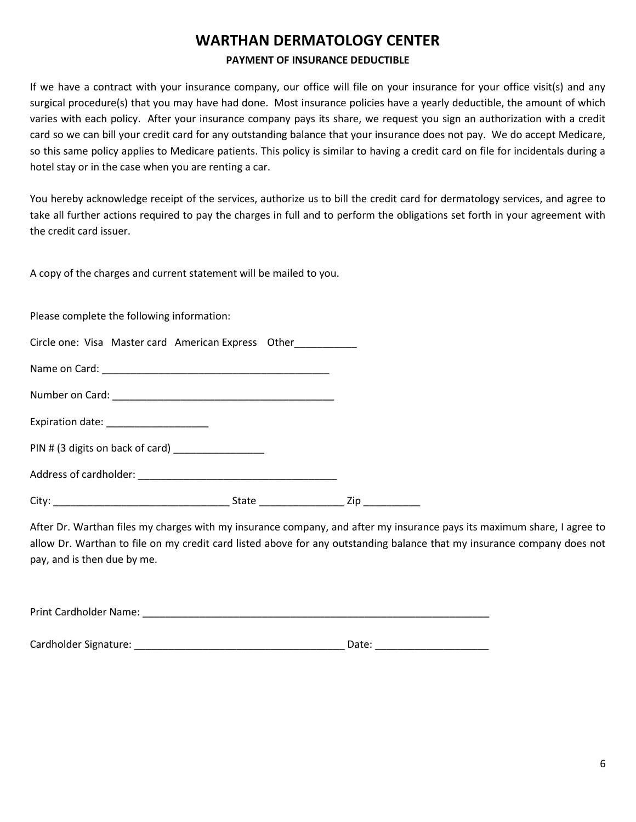#### **PAYMENT OF INSURANCE DEDUCTIBLE**

If we have a contract with your insurance company, our office will file on your insurance for your office visit(s) and any surgical procedure(s) that you may have had done. Most insurance policies have a yearly deductible, the amount of which varies with each policy. After your insurance company pays its share, we request you sign an authorization with a credit card so we can bill your credit card for any outstanding balance that your insurance does not pay. We do accept Medicare, so this same policy applies to Medicare patients. This policy is similar to having a credit card on file for incidentals during a hotel stay or in the case when you are renting a car.

You hereby acknowledge receipt of the services, authorize us to bill the credit card for dermatology services, and agree to take all further actions required to pay the charges in full and to perform the obligations set forth in your agreement with the credit card issuer.

A copy of the charges and current statement will be mailed to you.

Please complete the following information:

|  |  |  | Circle one: Visa Master card American Express Other |  |
|--|--|--|-----------------------------------------------------|--|
|--|--|--|-----------------------------------------------------|--|

Name on Card: **We are also contained as a set of the set of the set of the set of the set of the set of the set of the set of the set of the set of the set of the set of the set of the set of the set of the set of the set** 

Number on Card:

Address of cardholder: \_\_\_\_\_\_\_\_\_\_\_\_\_\_\_\_\_\_\_\_\_\_\_\_\_\_\_\_\_\_\_\_\_\_\_

Expiration date:

|  | PIN # (3 digits on back of card) |  |
|--|----------------------------------|--|
|  |                                  |  |

After Dr. Warthan files my charges with my insurance company, and after my insurance pays its maximum share, I agree to allow Dr. Warthan to file on my credit card listed above for any outstanding balance that my insurance company does not pay, and is then due by me.

| Print Cardholder Name: |  |  |  |
|------------------------|--|--|--|
|                        |  |  |  |
|                        |  |  |  |

Cardholder Signature: \_\_\_\_\_\_\_\_\_\_\_\_\_\_\_\_\_\_\_\_\_\_\_\_\_\_\_\_\_\_\_\_\_\_\_\_\_ Date: \_\_\_\_\_\_\_\_\_\_\_\_\_\_\_\_\_\_\_\_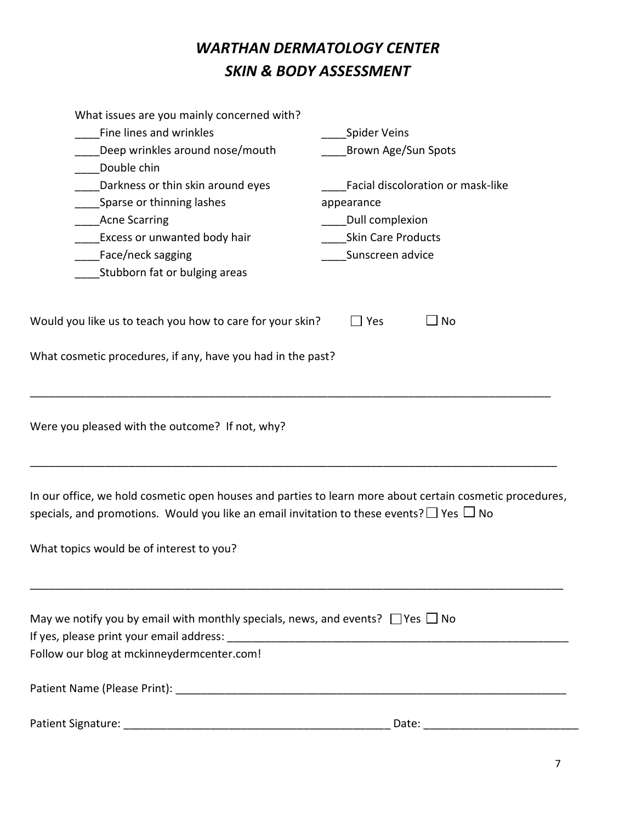# *WARTHAN DERMATOLOGY CENTER SKIN & BODY ASSESSMENT*

| What issues are you mainly concerned with?                                                                                                                                                                     |                                                                                                                                                                                                                                |  |  |
|----------------------------------------------------------------------------------------------------------------------------------------------------------------------------------------------------------------|--------------------------------------------------------------------------------------------------------------------------------------------------------------------------------------------------------------------------------|--|--|
| Fine lines and wrinkles                                                                                                                                                                                        | <b>Spider Veins</b>                                                                                                                                                                                                            |  |  |
| Deep wrinkles around nose/mouth                                                                                                                                                                                | Brown Age/Sun Spots                                                                                                                                                                                                            |  |  |
| Double chin                                                                                                                                                                                                    |                                                                                                                                                                                                                                |  |  |
| Darkness or thin skin around eyes                                                                                                                                                                              | Facial discoloration or mask-like                                                                                                                                                                                              |  |  |
| Sparse or thinning lashes                                                                                                                                                                                      | appearance                                                                                                                                                                                                                     |  |  |
| <b>Acne Scarring</b>                                                                                                                                                                                           | Dull complexion                                                                                                                                                                                                                |  |  |
| Excess or unwanted body hair                                                                                                                                                                                   | <b>Skin Care Products</b>                                                                                                                                                                                                      |  |  |
| Face/neck sagging                                                                                                                                                                                              | Sunscreen advice                                                                                                                                                                                                               |  |  |
| Stubborn fat or bulging areas                                                                                                                                                                                  |                                                                                                                                                                                                                                |  |  |
| Would you like us to teach you how to care for your skin?                                                                                                                                                      | $\Box$ No<br>$\Box$ Yes                                                                                                                                                                                                        |  |  |
| What cosmetic procedures, if any, have you had in the past?                                                                                                                                                    |                                                                                                                                                                                                                                |  |  |
| Were you pleased with the outcome? If not, why?                                                                                                                                                                |                                                                                                                                                                                                                                |  |  |
| In our office, we hold cosmetic open houses and parties to learn more about certain cosmetic procedures,<br>specials, and promotions. Would you like an email invitation to these events? $\Box$ Yes $\Box$ No |                                                                                                                                                                                                                                |  |  |
| What topics would be of interest to you?                                                                                                                                                                       |                                                                                                                                                                                                                                |  |  |
| May we notify you by email with monthly specials, news, and events? $\Box$ Yes $\Box$ No                                                                                                                       |                                                                                                                                                                                                                                |  |  |
|                                                                                                                                                                                                                |                                                                                                                                                                                                                                |  |  |
| Follow our blog at mckinneydermcenter.com!                                                                                                                                                                     |                                                                                                                                                                                                                                |  |  |
|                                                                                                                                                                                                                |                                                                                                                                                                                                                                |  |  |
|                                                                                                                                                                                                                | Date: the contract of the contract of the contract of the contract of the contract of the contract of the contract of the contract of the contract of the contract of the contract of the contract of the contract of the cont |  |  |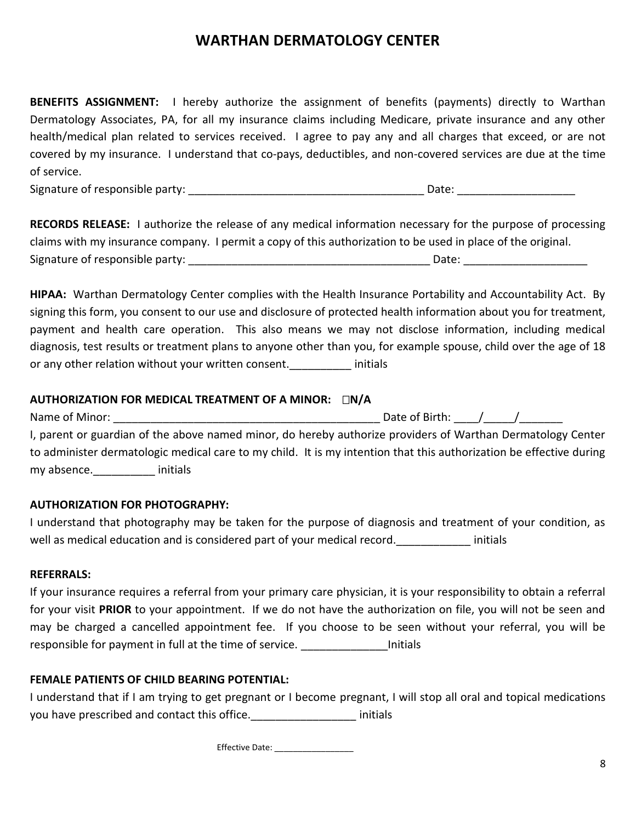**BENEFITS ASSIGNMENT:** I hereby authorize the assignment of benefits (payments) directly to Warthan Dermatology Associates, PA, for all my insurance claims including Medicare, private insurance and any other health/medical plan related to services received. I agree to pay any and all charges that exceed, or are not covered by my insurance. I understand that co-pays, deductibles, and non-covered services are due at the time of service.

Signature of responsible party: \_\_\_\_\_\_\_\_\_\_\_\_\_\_\_\_\_\_\_\_\_\_\_\_\_\_\_\_\_\_\_\_\_\_\_\_\_\_ Date: \_\_\_\_\_\_\_\_\_\_\_\_\_\_\_\_\_\_\_

**RECORDS RELEASE:** I authorize the release of any medical information necessary for the purpose of processing claims with my insurance company. I permit a copy of this authorization to be used in place of the original. Signature of responsible party: \_\_\_\_\_\_\_\_\_\_\_\_\_\_\_\_\_\_\_\_\_\_\_\_\_\_\_\_\_\_\_\_\_\_\_\_\_\_\_ Date: \_\_\_\_\_\_\_\_\_\_\_\_\_\_\_\_\_\_\_\_

**HIPAA:** Warthan Dermatology Center complies with the Health Insurance Portability and Accountability Act. By signing this form, you consent to our use and disclosure of protected health information about you for treatment, payment and health care operation. This also means we may not disclose information, including medical diagnosis, test results or treatment plans to anyone other than you, for example spouse, child over the age of 18 or any other relation without your written consent. The initials

### **AUTHORIZATION FOR MEDICAL TREATMENT OF A MINOR:**  $\Box N/A$

Name of Minor: \_\_\_\_\_\_\_\_\_\_\_\_\_\_\_\_\_\_\_\_\_\_\_\_\_\_\_\_\_\_\_\_\_\_\_\_\_\_\_\_\_\_\_ Date of Birth: \_\_\_\_/\_\_\_\_\_/\_\_\_\_\_\_\_ I, parent or guardian of the above named minor, do hereby authorize providers of Warthan Dermatology Center to administer dermatologic medical care to my child. It is my intention that this authorization be effective during my absence.\_\_\_\_\_\_\_\_\_\_ initials

### **AUTHORIZATION FOR PHOTOGRAPHY:**

I understand that photography may be taken for the purpose of diagnosis and treatment of your condition, as well as medical education and is considered part of your medical record. The maintials

#### **REFERRALS:**

If your insurance requires a referral from your primary care physician, it is your responsibility to obtain a referral for your visit **PRIOR** to your appointment. If we do not have the authorization on file, you will not be seen and may be charged a cancelled appointment fee. If you choose to be seen without your referral, you will be responsible for payment in full at the time of service. The limitials

### **FEMALE PATIENTS OF CHILD BEARING POTENTIAL:**

I understand that if I am trying to get pregnant or I become pregnant, I will stop all oral and topical medications you have prescribed and contact this office. The manufacture initials

Effective Date: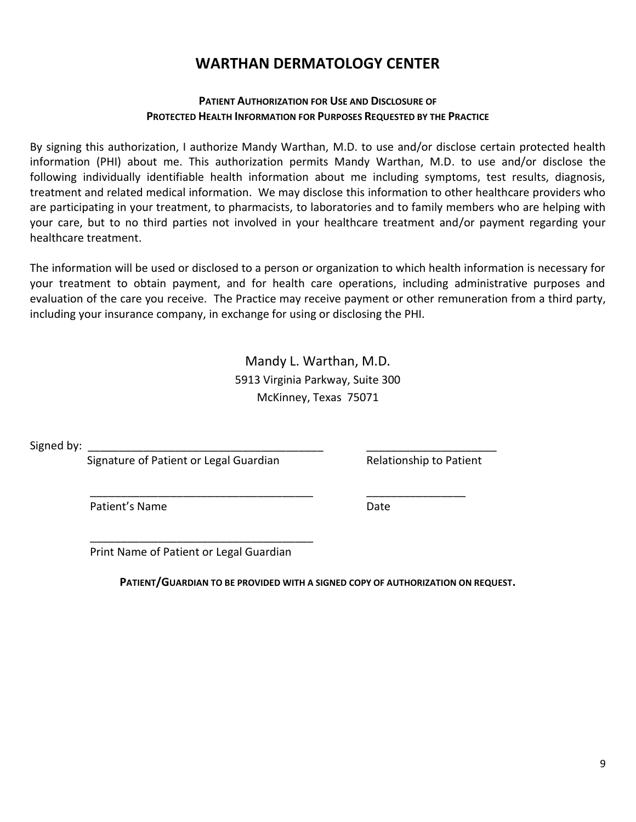### **PATIENT AUTHORIZATION FOR USE AND DISCLOSURE OF PROTECTED HEALTH INFORMATION FOR PURPOSES REQUESTED BY THE PRACTICE**

By signing this authorization, I authorize Mandy Warthan, M.D. to use and/or disclose certain protected health information (PHI) about me. This authorization permits Mandy Warthan, M.D. to use and/or disclose the following individually identifiable health information about me including symptoms, test results, diagnosis, treatment and related medical information. We may disclose this information to other healthcare providers who are participating in your treatment, to pharmacists, to laboratories and to family members who are helping with your care, but to no third parties not involved in your healthcare treatment and/or payment regarding your healthcare treatment.

The information will be used or disclosed to a person or organization to which health information is necessary for your treatment to obtain payment, and for health care operations, including administrative purposes and evaluation of the care you receive. The Practice may receive payment or other remuneration from a third party, including your insurance company, in exchange for using or disclosing the PHI.

> Mandy L. Warthan, M.D. 5913 Virginia Parkway, Suite 300 McKinney, Texas 75071

Signed by:

Signature of Patient or Legal Guardian Relationship to Patient

Patient's Name **Date** 

 \_\_\_\_\_\_\_\_\_\_\_\_\_\_\_\_\_\_\_\_\_\_\_\_\_\_\_\_\_\_\_\_\_\_\_\_ Print Name of Patient or Legal Guardian

**PATIENT/GUARDIAN TO BE PROVIDED WITH A SIGNED COPY OF AUTHORIZATION ON REQUEST.**

\_\_\_\_\_\_\_\_\_\_\_\_\_\_\_\_\_\_\_\_\_\_\_\_\_\_\_\_\_\_\_\_\_\_\_\_ \_\_\_\_\_\_\_\_\_\_\_\_\_\_\_\_